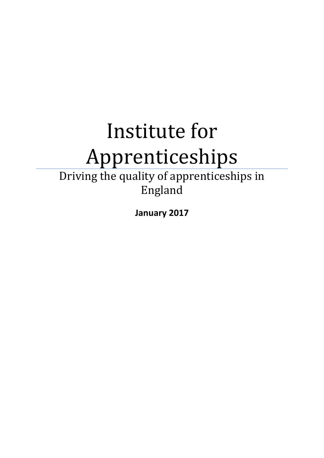# Institute for Apprenticeships

Driving the quality of apprenticeships in England

**January 2017**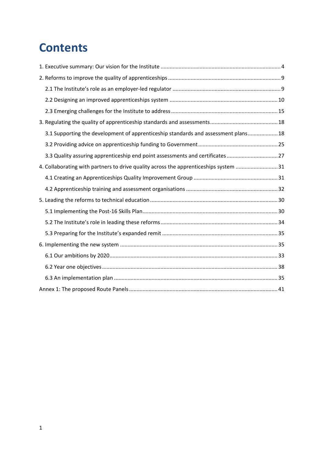# **Contents**

| 3.1 Supporting the development of apprenticeship standards and assessment plans 18   |  |
|--------------------------------------------------------------------------------------|--|
|                                                                                      |  |
| 3.3 Quality assuring apprenticeship end point assessments and certificates27         |  |
| 4. Collaborating with partners to drive quality across the apprenticeships system 31 |  |
|                                                                                      |  |
|                                                                                      |  |
|                                                                                      |  |
|                                                                                      |  |
|                                                                                      |  |
|                                                                                      |  |
|                                                                                      |  |
|                                                                                      |  |
|                                                                                      |  |
|                                                                                      |  |
|                                                                                      |  |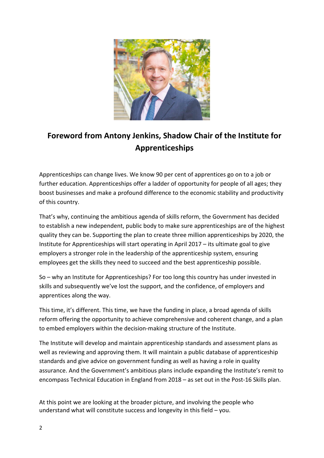

# **Foreword from Antony Jenkins, Shadow Chair of the Institute for Apprenticeships**

Apprenticeships can change lives. We know 90 per cent of apprentices go on to a job or further education. Apprenticeships offer a ladder of opportunity for people of all ages; they boost businesses and make a profound difference to the economic stability and productivity of this country.

That's why, continuing the ambitious agenda of skills reform, the Government has decided to establish a new independent, public body to make sure apprenticeships are of the highest quality they can be. Supporting the plan to create three million apprenticeships by 2020, the Institute for Apprenticeships will start operating in April 2017 – its ultimate goal to give employers a stronger role in the leadership of the apprenticeship system, ensuring employees get the skills they need to succeed and the best apprenticeship possible.

So – why an Institute for Apprenticeships? For too long this country has under invested in skills and subsequently we've lost the support, and the confidence, of employers and apprentices along the way.

This time, it's different. This time, we have the funding in place, a broad agenda of skills reform offering the opportunity to achieve comprehensive and coherent change, and a plan to embed employers within the decision-making structure of the Institute.

The Institute will develop and maintain apprenticeship standards and assessment plans as well as reviewing and approving them. It will maintain a public database of apprenticeship standards and give advice on government funding as well as having a role in quality assurance. And the Government's ambitious plans include expanding the Institute's remit to encompass Technical Education in England from 2018 – as set out in the Post-16 Skills plan.

At this point we are looking at the broader picture, and involving the people who understand what will constitute success and longevity in this field – you.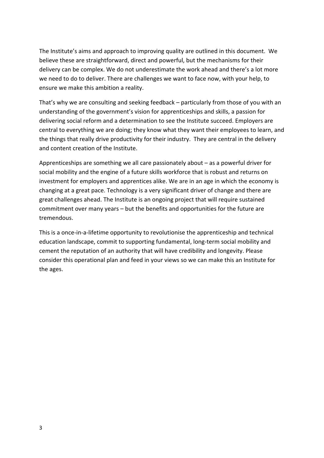The Institute's aims and approach to improving quality are outlined in this document. We believe these are straightforward, direct and powerful, but the mechanisms for their delivery can be complex. We do not underestimate the work ahead and there's a lot more we need to do to deliver. There are challenges we want to face now, with your help, to ensure we make this ambition a reality.

That's why we are consulting and seeking feedback – particularly from those of you with an understanding of the government's vision for apprenticeships and skills, a passion for delivering social reform and a determination to see the Institute succeed. Employers are central to everything we are doing; they know what they want their employees to learn, and the things that really drive productivity for their industry. They are central in the delivery and content creation of the Institute.

Apprenticeships are something we all care passionately about – as a powerful driver for social mobility and the engine of a future skills workforce that is robust and returns on investment for employers and apprentices alike. We are in an age in which the economy is changing at a great pace. Technology is a very significant driver of change and there are great challenges ahead. The Institute is an ongoing project that will require sustained commitment over many years – but the benefits and opportunities for the future are tremendous.

<span id="page-3-0"></span>This is a once-in-a-lifetime opportunity to revolutionise the apprenticeship and technical education landscape, commit to supporting fundamental, long-term social mobility and cement the reputation of an authority that will have credibility and longevity. Please consider this operational plan and feed in your views so we can make this an Institute for the ages.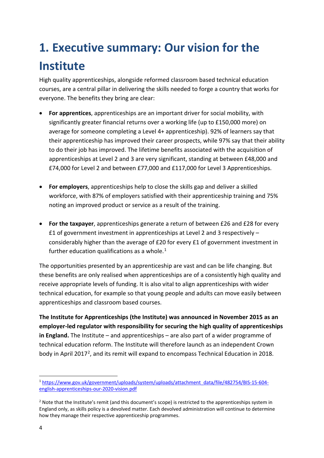# **1. Executive summary: Our vision for the Institute**

High quality apprenticeships, alongside reformed classroom based technical education courses, are a central pillar in delivering the skills needed to forge a country that works for everyone. The benefits they bring are clear:

- **For apprentices**, apprenticeships are an important driver for social mobility, with significantly greater financial returns over a working life (up to £150,000 more) on average for someone completing a Level 4+ apprenticeship). 92% of learners say that their apprenticeship has improved their career prospects, while 97% say that their ability to do their job has improved. The lifetime benefits associated with the acquisition of apprenticeships at Level 2 and 3 are very significant, standing at between £48,000 and £74,000 for Level 2 and between £77,000 and £117,000 for Level 3 Apprenticeships.
- **For employers**, apprenticeships help to close the skills gap and deliver a skilled workforce, with 87% of employers satisfied with their apprenticeship training and 75% noting an improved product or service as a result of the training.
- **For the taxpayer**, apprenticeships generate a return of between £26 and £28 for every £1 of government investment in apprenticeships at Level 2 and 3 respectively – considerably higher than the average of £20 for every £1 of government investment in further education qualifications as a whole. $1$

The opportunities presented by an apprenticeship are vast and can be life changing. But these benefits are only realised when apprenticeships are of a consistently high quality and receive appropriate levels of funding. It is also vital to align apprenticeships with wider technical education, for example so that young people and adults can move easily between apprenticeships and classroom based courses.

**The Institute for Apprenticeships (the Institute) was announced in November 2015 as an employer-led regulator with responsibility for securing the high quality of apprenticeships in England.** The Institute – and apprenticeships – are also part of a wider programme of technical education reform. The Institute will therefore launch as an independent Crown body in April [2](#page-4-1)017<sup>2</sup>, and its remit will expand to encompass Technical Education in 2018.

<span id="page-4-0"></span><sup>1</sup> [https://www.gov.uk/government/uploads/system/uploads/attachment\\_data/file/482754/BIS-15-604](https://www.gov.uk/government/uploads/system/uploads/attachment_data/file/482754/BIS-15-604-english-apprenticeships-our-2020-vision.pdf) [english-apprenticeships-our-2020-vision.pdf](https://www.gov.uk/government/uploads/system/uploads/attachment_data/file/482754/BIS-15-604-english-apprenticeships-our-2020-vision.pdf) **.** 

<span id="page-4-1"></span><sup>&</sup>lt;sup>2</sup> Note that the Institute's remit (and this document's scope) is restricted to the apprenticeships system in England only, as skills policy is a devolved matter. Each devolved administration will continue to determine how they manage their respective apprenticeship programmes.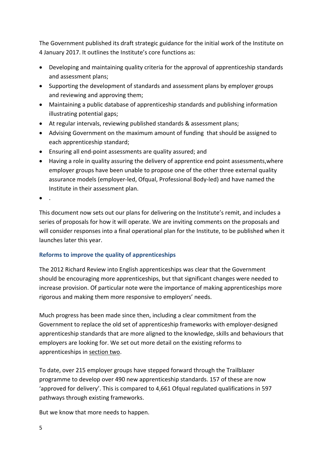The Government published its draft strategic guidance for the initial work of the Institute on 4 January 2017. It outlines the Institute's core functions as:

- Developing and maintaining quality criteria for the approval of apprenticeship standards and assessment plans;
- Supporting the development of standards and assessment plans by employer groups and reviewing and approving them;
- Maintaining a public database of apprenticeship standards and publishing information illustrating potential gaps;
- At regular intervals, reviewing published standards & assessment plans;
- Advising Government on the maximum amount of funding that should be assigned to each apprenticeship standard;
- Ensuring all end-point assessments are quality assured; and
- Having a role in quality assuring the delivery of apprentice end point assessments,where employer groups have been unable to propose one of the other three external quality assurance models (employer-led, Ofqual, Professional Body-led) and have named the Institute in their assessment plan.

 $\bullet$  .

This document now sets out our plans for delivering on the Institute's remit, and includes a series of proposals for how it will operate. We are inviting comments on the proposals and will consider responses into a final operational plan for the Institute, to be published when it launches later this year.

#### **Reforms to improve the quality of apprenticeships**

The 2012 Richard Review into English apprenticeships was clear that the Government should be encouraging more apprenticeships, but that significant changes were needed to increase provision. Of particular note were the importance of making apprenticeships more rigorous and making them more responsive to employers' needs.

Much progress has been made since then, including a clear commitment from the Government to replace the old set of apprenticeship frameworks with employer-designed apprenticeship standards that are more aligned to the knowledge, skills and behaviours that employers are looking for. We set out more detail on the existing reforms to apprenticeships in section two.

To date, over 215 employer groups have stepped forward through the Trailblazer programme to develop over 490 new apprenticeship standards. 157 of these are now 'approved for delivery'. This is compared to 4,661 Ofqual regulated qualifications in 597 pathways through existing frameworks.

But we know that more needs to happen.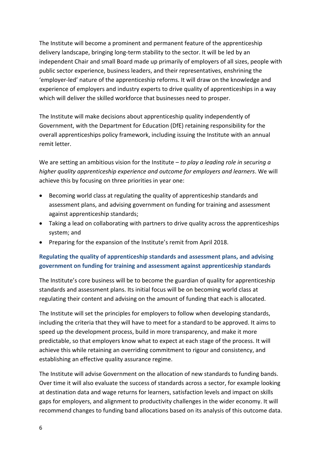The Institute will become a prominent and permanent feature of the apprenticeship delivery landscape, bringing long-term stability to the sector. It will be led by an independent Chair and small Board made up primarily of employers of all sizes, people with public sector experience, business leaders, and their representatives, enshrining the 'employer-led' nature of the apprenticeship reforms. It will draw on the knowledge and experience of employers and industry experts to drive quality of apprenticeships in a way which will deliver the skilled workforce that businesses need to prosper.

The Institute will make decisions about apprenticeship quality independently of Government, with the Department for Education (DfE) retaining responsibility for the overall apprenticeships policy framework, including issuing the Institute with an annual remit letter.

We are setting an ambitious vision for the Institute – *to play a leading role in securing a higher quality apprenticeship experience and outcome for employers and learners*. We will achieve this by focusing on three priorities in year one:

- Becoming world class at regulating the quality of apprenticeship standards and assessment plans, and advising government on funding for training and assessment against apprenticeship standards;
- Taking a lead on collaborating with partners to drive quality across the apprenticeships system; and
- Preparing for the expansion of the Institute's remit from April 2018.

#### **Regulating the quality of apprenticeship standards and assessment plans, and advising government on funding for training and assessment against apprenticeship standards**

The Institute's core business will be to become the guardian of quality for apprenticeship standards and assessment plans. Its initial focus will be on becoming world class at regulating their content and advising on the amount of funding that each is allocated.

The Institute will set the principles for employers to follow when developing standards, including the criteria that they will have to meet for a standard to be approved. It aims to speed up the development process, build in more transparency, and make it more predictable, so that employers know what to expect at each stage of the process. It will achieve this while retaining an overriding commitment to rigour and consistency, and establishing an effective quality assurance regime.

The Institute will advise Government on the allocation of new standards to funding bands. Over time it will also evaluate the success of standards across a sector, for example looking at destination data and wage returns for learners, satisfaction levels and impact on skills gaps for employers, and alignment to productivity challenges in the wider economy. It will recommend changes to funding band allocations based on its analysis of this outcome data.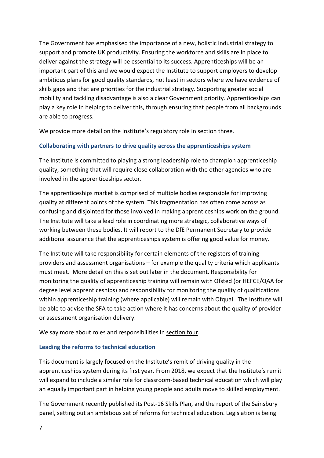The Government has emphasised the importance of a new, holistic industrial strategy to support and promote UK productivity. Ensuring the workforce and skills are in place to deliver against the strategy will be essential to its success. Apprenticeships will be an important part of this and we would expect the Institute to support employers to develop ambitious plans for good quality standards, not least in sectors where we have evidence of skills gaps and that are priorities for the industrial strategy. Supporting greater social mobility and tackling disadvantage is also a clear Government priority. Apprenticeships can play a key role in helping to deliver this, through ensuring that people from all backgrounds are able to progress.

We provide more detail on the Institute's regulatory role in section three.

#### **Collaborating with partners to drive quality across the apprenticeships system**

The Institute is committed to playing a strong leadership role to champion apprenticeship quality, something that will require close collaboration with the other agencies who are involved in the apprenticeships sector.

The apprenticeships market is comprised of multiple bodies responsible for improving quality at different points of the system. This fragmentation has often come across as confusing and disjointed for those involved in making apprenticeships work on the ground. The Institute will take a lead role in coordinating more strategic, collaborative ways of working between these bodies. It will report to the DfE Permanent Secretary to provide additional assurance that the apprenticeships system is offering good value for money.

The Institute will take responsibility for certain elements of the registers of training providers and assessment organisations – for example the quality criteria which applicants must meet. More detail on this is set out later in the document. Responsibility for monitoring the quality of apprenticeship training will remain with Ofsted (or HEFCE/QAA for degree level apprenticeships) and responsibility for monitoring the quality of qualifications within apprenticeship training (where applicable) will remain with Ofqual. The Institute will be able to advise the SFA to take action where it has concerns about the quality of provider or assessment organisation delivery.

We say more about roles and responsibilities in section four.

#### **Leading the reforms to technical education**

This document is largely focused on the Institute's remit of driving quality in the apprenticeships system during its first year. From 2018, we expect that the Institute's remit will expand to include a similar role for classroom-based technical education which will play an equally important part in helping young people and adults move to skilled employment.

The Government recently published its Post-16 Skills Plan, and the report of the Sainsbury panel, setting out an ambitious set of reforms for technical education. Legislation is being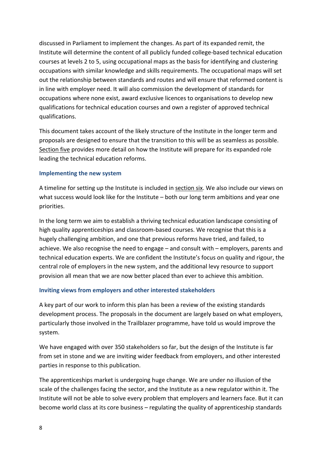discussed in Parliament to implement the changes. As part of its expanded remit, the Institute will determine the content of all publicly funded college-based technical education courses at levels 2 to 5, using occupational maps as the basis for identifying and clustering occupations with similar knowledge and skills requirements. The occupational maps will set out the relationship between standards and routes and will ensure that reformed content is in line with employer need. It will also commission the development of standards for occupations where none exist, award exclusive licences to organisations to develop new qualifications for technical education courses and own a register of approved technical qualifications.

This document takes account of the likely structure of the Institute in the longer term and proposals are designed to ensure that the transition to this will be as seamless as possible. Section five provides more detail on how the Institute will prepare for its expanded role leading the technical education reforms.

#### **Implementing the new system**

A timeline for setting up the Institute is included in section six. We also include our views on what success would look like for the Institute – both our long term ambitions and year one priorities.

In the long term we aim to establish a thriving technical education landscape consisting of high quality apprenticeships and classroom-based courses. We recognise that this is a hugely challenging ambition, and one that previous reforms have tried, and failed, to achieve. We also recognise the need to engage – and consult with – employers, parents and technical education experts. We are confident the Institute's focus on quality and rigour, the central role of employers in the new system, and the additional levy resource to support provision all mean that we are now better placed than ever to achieve this ambition.

#### **Inviting views from employers and other interested stakeholders**

A key part of our work to inform this plan has been a review of the existing standards development process. The proposals in the document are largely based on what employers, particularly those involved in the Trailblazer programme, have told us would improve the system.

We have engaged with over 350 stakeholders so far, but the design of the Institute is far from set in stone and we are inviting wider feedback from employers, and other interested parties in response to this publication.

The apprenticeships market is undergoing huge change. We are under no illusion of the scale of the challenges facing the sector, and the Institute as a new regulator within it. The Institute will not be able to solve every problem that employers and learners face. But it can become world class at its core business – regulating the quality of apprenticeship standards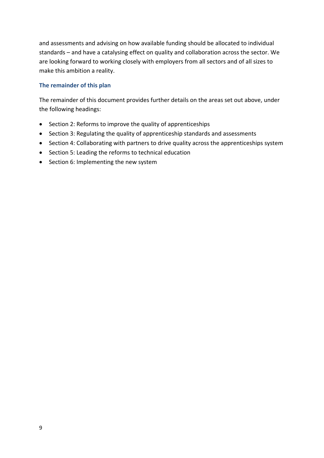and assessments and advising on how available funding should be allocated to individual standards – and have a catalysing effect on quality and collaboration across the sector. We are looking forward to working closely with employers from all sectors and of all sizes to make this ambition a reality.

#### **The remainder of this plan**

The remainder of this document provides further details on the areas set out above, under the following headings:

- Section 2: Reforms to improve the quality of apprenticeships
- Section 3: Regulating the quality of apprenticeship standards and assessments
- Section 4: Collaborating with partners to drive quality across the apprenticeships system
- Section 5: Leading the reforms to technical education
- Section 6: Implementing the new system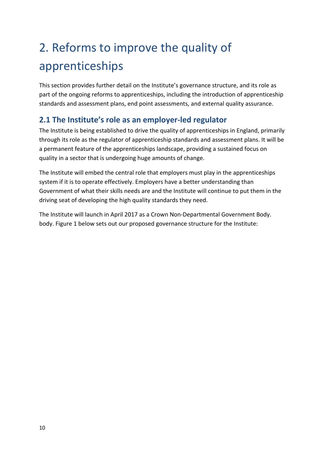# <span id="page-10-0"></span>2. Reforms to improve the quality of apprenticeships

This section provides further detail on the Institute's governance structure, and its role as part of the ongoing reforms to apprenticeships, including the introduction of apprenticeship standards and assessment plans, end point assessments, and external quality assurance.

## <span id="page-10-1"></span>**2.1 The Institute's role as an employer-led regulator**

The Institute is being established to drive the quality of apprenticeships in England, primarily through its role as the regulator of apprenticeship standards and assessment plans. It will be a permanent feature of the apprenticeships landscape, providing a sustained focus on quality in a sector that is undergoing huge amounts of change.

The Institute will embed the central role that employers must play in the apprenticeships system if it is to operate effectively. Employers have a better understanding than Government of what their skills needs are and the Institute will continue to put them in the driving seat of developing the high quality standards they need.

The Institute will launch in April 2017 as a Crown Non-Departmental Government Body. body. Figure 1 below sets out our proposed governance structure for the Institute: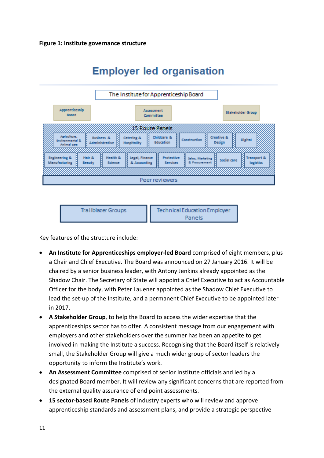





Key features of the structure include:

- **An Institute for Apprenticeships employer-led Board** comprised of eight members, plus a Chair and Chief Executive. The Board was announced on 27 January 2016. It will be chaired by a senior business leader, with Antony Jenkins already appointed as the Shadow Chair. The Secretary of State will appoint a Chief Executive to act as Accountable Officer for the body, with Peter Lauener appointed as the Shadow Chief Executive to lead the set-up of the Institute, and a permanent Chief Executive to be appointed later in 2017.
- **A Stakeholder Group**, to help the Board to access the wider expertise that the apprenticeships sector has to offer. A consistent message from our engagement with employers and other stakeholders over the summer has been an appetite to get involved in making the Institute a success. Recognising that the Board itself is relatively small, the Stakeholder Group will give a much wider group of sector leaders the opportunity to inform the Institute's work.
- **An Assessment Committee** comprised of senior Institute officials and led by a designated Board member. It will review any significant concerns that are reported from the external quality assurance of end point assessments.
- **15 sector-based Route Panels** of industry experts who will review and approve apprenticeship standards and assessment plans, and provide a strategic perspective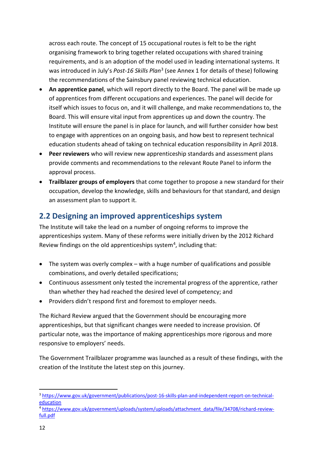across each route. The concept of 15 occupational routes is felt to be the right organising framework to bring together related occupations with shared training requirements, and is an adoption of the model used in leading international systems. It was introduced in July's *Post-16 Skills Plan*<sup>[3](#page-12-1)</sup> (see Annex 1 for details of these) following the recommendations of the Sainsbury panel reviewing technical education.

- **An apprentice panel**, which will report directly to the Board. The panel will be made up of apprentices from different occupations and experiences. The panel will decide for itself which issues to focus on, and it will challenge, and make recommendations to, the Board. This will ensure vital input from apprentices up and down the country. The Institute will ensure the panel is in place for launch, and will further consider how best to engage with apprentices on an ongoing basis, and how best to represent technical education students ahead of taking on technical education responsibility in April 2018.
- **Peer reviewers** who will review new apprenticeship standards and assessment plans provide comments and recommendations to the relevant Route Panel to inform the approval process.
- **Trailblazer groups of employers** that come together to propose a new standard for their occupation, develop the knowledge, skills and behaviours for that standard, and design an assessment plan to support it.

### <span id="page-12-0"></span>**2.2 Designing an improved apprenticeships system**

The Institute will take the lead on a number of ongoing reforms to improve the apprenticeships system. Many of these reforms were initially driven by the 2012 Richard Review findings on the old apprenticeships system<sup>[4](#page-12-2)</sup>, including that:

- The system was overly complex with a huge number of qualifications and possible combinations, and overly detailed specifications;
- Continuous assessment only tested the incremental progress of the apprentice, rather than whether they had reached the desired level of competency; and
- Providers didn't respond first and foremost to employer needs.

The Richard Review argued that the Government should be encouraging more apprenticeships, but that significant changes were needed to increase provision. Of particular note, was the importance of making apprenticeships more rigorous and more responsive to employers' needs.

The Government Trailblazer programme was launched as a result of these findings, with the creation of the Institute the latest step on this journey.

<span id="page-12-1"></span><sup>3</sup> [https://www.gov.uk/government/publications/post-16-skills-plan-and-independent-report-on-technical](https://www.gov.uk/government/publications/post-16-skills-plan-and-independent-report-on-technical-education)[education](https://www.gov.uk/government/publications/post-16-skills-plan-and-independent-report-on-technical-education) **.** 

<span id="page-12-2"></span><sup>4</sup> [https://www.gov.uk/government/uploads/system/uploads/attachment\\_data/file/34708/richard-review](https://www.gov.uk/government/uploads/system/uploads/attachment_data/file/34708/richard-review-full.pdf)[full.pdf](https://www.gov.uk/government/uploads/system/uploads/attachment_data/file/34708/richard-review-full.pdf)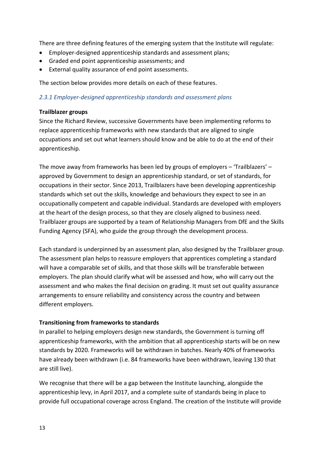There are three defining features of the emerging system that the Institute will regulate:

- Employer-designed apprenticeship standards and assessment plans;
- Graded end point apprenticeship assessments; and
- External quality assurance of end point assessments.

The section below provides more details on each of these features.

#### *2.3.1 Employer-designed apprenticeship standards and assessment plans*

#### **Trailblazer groups**

Since the Richard Review, successive Governments have been implementing reforms to replace apprenticeship frameworks with new standards that are aligned to single occupations and set out what learners should know and be able to do at the end of their apprenticeship.

The move away from frameworks has been led by groups of employers – 'Trailblazers' – approved by Government to design an apprenticeship standard, or set of standards, for occupations in their sector. Since 2013, Trailblazers have been developing apprenticeship standards which set out the skills, knowledge and behaviours they expect to see in an occupationally competent and capable individual. Standards are developed with employers at the heart of the design process, so that they are closely aligned to business need. Trailblazer groups are supported by a team of Relationship Managers from DfE and the Skills Funding Agency (SFA), who guide the group through the development process.

Each standard is underpinned by an assessment plan, also designed by the Trailblazer group. The assessment plan helps to reassure employers that apprentices completing a standard will have a comparable set of skills, and that those skills will be transferable between employers. The plan should clarify what will be assessed and how, who will carry out the assessment and who makes the final decision on grading. It must set out quality assurance arrangements to ensure reliability and consistency across the country and between different employers.

#### **Transitioning from frameworks to standards**

In parallel to helping employers design new standards, the Government is turning off apprenticeship frameworks, with the ambition that all apprenticeship starts will be on new standards by 2020. Frameworks will be withdrawn in batches. Nearly 40% of frameworks have already been withdrawn (i.e. 84 frameworks have been withdrawn, leaving 130 that are still live).

We recognise that there will be a gap between the Institute launching, alongside the apprenticeship levy, in April 2017, and a complete suite of standards being in place to provide full occupational coverage across England. The creation of the Institute will provide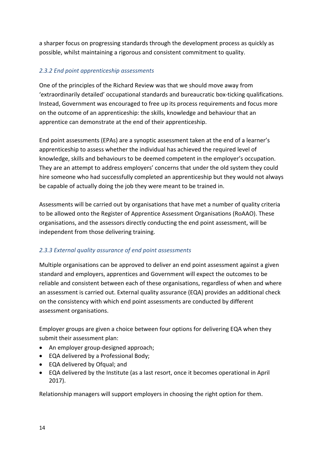a sharper focus on progressing standards through the development process as quickly as possible, whilst maintaining a rigorous and consistent commitment to quality.

#### *2.3.2 End point apprenticeship assessments*

One of the principles of the Richard Review was that we should move away from 'extraordinarily detailed' occupational standards and bureaucratic box-ticking qualifications. Instead, Government was encouraged to free up its process requirements and focus more on the outcome of an apprenticeship: the skills, knowledge and behaviour that an apprentice can demonstrate at the end of their apprenticeship.

End point assessments (EPAs) are a synoptic assessment taken at the end of a learner's apprenticeship to assess whether the individual has achieved the required level of knowledge, skills and behaviours to be deemed competent in the employer's occupation. They are an attempt to address employers' concerns that under the old system they could hire someone who had successfully completed an apprenticeship but they would not always be capable of actually doing the job they were meant to be trained in.

Assessments will be carried out by organisations that have met a number of quality criteria to be allowed onto the Register of Apprentice Assessment Organisations (RoAAO). These organisations, and the assessors directly conducting the end point assessment, will be independent from those delivering training.

#### *2.3.3 External quality assurance of end point assessments*

Multiple organisations can be approved to deliver an end point assessment against a given standard and employers, apprentices and Government will expect the outcomes to be reliable and consistent between each of these organisations, regardless of when and where an assessment is carried out. External quality assurance (EQA) provides an additional check on the consistency with which end point assessments are conducted by different assessment organisations.

Employer groups are given a choice between four options for delivering EQA when they submit their assessment plan:

- An employer group-designed approach;
- EQA delivered by a Professional Body;
- EQA delivered by Ofqual; and
- EQA delivered by the Institute (as a last resort, once it becomes operational in April 2017).

Relationship managers will support employers in choosing the right option for them.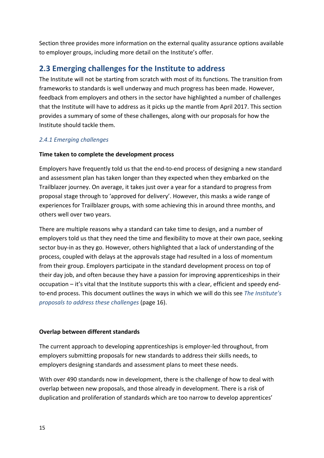Section three provides more information on the external quality assurance options available to employer groups, including more detail on the Institute's offer.

### <span id="page-15-0"></span>**2.3 Emerging challenges for the Institute to address**

The Institute will not be starting from scratch with most of its functions. The transition from frameworks to standards is well underway and much progress has been made. However, feedback from employers and others in the sector have highlighted a number of challenges that the Institute will have to address as it picks up the mantle from April 2017. This section provides a summary of some of these challenges, along with our proposals for how the Institute should tackle them.

#### *2.4.1 Emerging challenges*

#### **Time taken to complete the development process**

Employers have frequently told us that the end-to-end process of designing a new standard and assessment plan has taken longer than they expected when they embarked on the Trailblazer journey. On average, it takes just over a year for a standard to progress from proposal stage through to 'approved for delivery'. However, this masks a wide range of experiences for Trailblazer groups, with some achieving this in around three months, and others well over two years.

There are multiple reasons why a standard can take time to design, and a number of employers told us that they need the time and flexibility to move at their own pace, seeking sector buy-in as they go. However, others highlighted that a lack of understanding of the process, coupled with delays at the approvals stage had resulted in a loss of momentum from their group. Employers participate in the standard development process on top of their day job, and often because they have a passion for improving apprenticeships in their occupation – it's vital that the Institute supports this with a clear, efficient and speedy endto-end process. This document outlines the ways in which we will do this see *The Institute's proposals to address these challenges* (page 16).

#### **Overlap between different standards**

The current approach to developing apprenticeships is employer-led throughout, from employers submitting proposals for new standards to address their skills needs, to employers designing standards and assessment plans to meet these needs.

With over 490 standards now in development, there is the challenge of how to deal with overlap between new proposals, and those already in development. There is a risk of duplication and proliferation of standards which are too narrow to develop apprentices'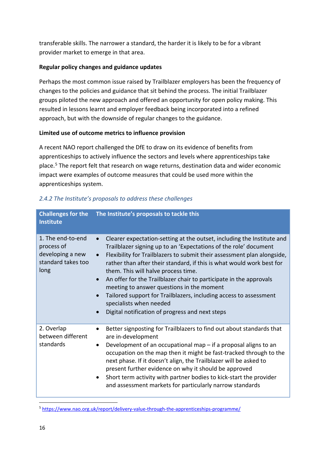transferable skills. The narrower a standard, the harder it is likely to be for a vibrant provider market to emerge in that area.

#### **Regular policy changes and guidance updates**

Perhaps the most common issue raised by Trailblazer employers has been the frequency of changes to the policies and guidance that sit behind the process. The initial Trailblazer groups piloted the new approach and offered an opportunity for open policy making. This resulted in lessons learnt and employer feedback being incorporated into a refined approach, but with the downside of regular changes to the guidance.

#### **Limited use of outcome metrics to influence provision**

A recent NAO report challenged the DfE to draw on its evidence of benefits from apprenticeships to actively influence the sectors and levels where apprenticeships take place.[5](#page-16-0) The report felt that research on wage returns, destination data and wider economic impact were examples of outcome measures that could be used more within the apprenticeships system.

| <b>Institute</b>                                                                  | Challenges for the The Institute's proposals to tackle this                                                                                                                                                                                                                                                                                                                                                                                                                                                                                                                                                              |
|-----------------------------------------------------------------------------------|--------------------------------------------------------------------------------------------------------------------------------------------------------------------------------------------------------------------------------------------------------------------------------------------------------------------------------------------------------------------------------------------------------------------------------------------------------------------------------------------------------------------------------------------------------------------------------------------------------------------------|
| 1. The end-to-end<br>process of<br>developing a new<br>standard takes too<br>long | Clearer expectation-setting at the outset, including the Institute and<br>Trailblazer signing up to an 'Expectations of the role' document<br>Flexibility for Trailblazers to submit their assessment plan alongside,<br>$\bullet$<br>rather than after their standard, if this is what would work best for<br>them. This will halve process time.<br>An offer for the Trailblazer chair to participate in the approvals<br>meeting to answer questions in the moment<br>Tailored support for Trailblazers, including access to assessment<br>specialists when needed<br>Digital notification of progress and next steps |
| 2. Overlap<br>between different<br>standards                                      | Better signposting for Trailblazers to find out about standards that<br>are in-development<br>Development of an occupational map - if a proposal aligns to an<br>occupation on the map then it might be fast-tracked through to the<br>next phase. If it doesn't align, the Trailblazer will be asked to<br>present further evidence on why it should be approved<br>Short term activity with partner bodies to kick-start the provider<br>and assessment markets for particularly narrow standards                                                                                                                      |

#### *2.4.2 The Institute's proposals to address these challenges*

**.** 

<span id="page-16-0"></span><sup>5</sup> <https://www.nao.org.uk/report/delivery-value-through-the-apprenticeships-programme/>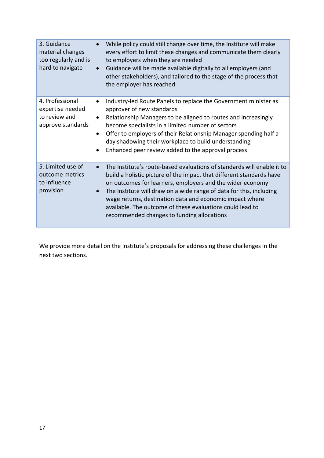| 3. Guidance<br>material changes<br>too regularly and is<br>hard to navigate | While policy could still change over time, the Institute will make<br>every effort to limit these changes and communicate them clearly<br>to employers when they are needed<br>Guidance will be made available digitally to all employers (and<br>other stakeholders), and tailored to the stage of the process that<br>the employer has reached                                                                                                                       |
|-----------------------------------------------------------------------------|------------------------------------------------------------------------------------------------------------------------------------------------------------------------------------------------------------------------------------------------------------------------------------------------------------------------------------------------------------------------------------------------------------------------------------------------------------------------|
| 4. Professional<br>expertise needed<br>to review and<br>approve standards   | Industry-led Route Panels to replace the Government minister as<br>approver of new standards<br>Relationship Managers to be aligned to routes and increasingly<br>become specialists in a limited number of sectors<br>Offer to employers of their Relationship Manager spending half a<br>$\bullet$<br>day shadowing their workplace to build understanding<br>Enhanced peer review added to the approval process                                                     |
| 5. Limited use of<br>outcome metrics<br>to influence<br>provision           | The Institute's route-based evaluations of standards will enable it to<br>build a holistic picture of the impact that different standards have<br>on outcomes for learners, employers and the wider economy<br>The Institute will draw on a wide range of data for this, including<br>$\bullet$<br>wage returns, destination data and economic impact where<br>available. The outcome of these evaluations could lead to<br>recommended changes to funding allocations |

<span id="page-17-0"></span>We provide more detail on the Institute's proposals for addressing these challenges in the next two sections.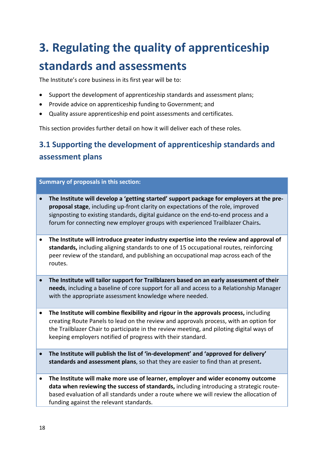# **3. Regulating the quality of apprenticeship standards and assessments**

The Institute's core business in its first year will be to:

- Support the development of apprenticeship standards and assessment plans;
- Provide advice on apprenticeship funding to Government; and
- Quality assure apprenticeship end point assessments and certificates.

This section provides further detail on how it will deliver each of these roles.

# <span id="page-18-0"></span>**3.1 Supporting the development of apprenticeship standards and assessment plans**

#### **Summary of proposals in this section:**

- **The Institute will develop a 'getting started' support package for employers at the preproposal stage**, including up-front clarity on expectations of the role, improved signposting to existing standards, digital guidance on the end-to-end process and a forum for connecting new employer groups with experienced Trailblazer Chairs**.**
- **The Institute will introduce greater industry expertise into the review and approval of standards,** including aligning standards to one of 15 occupational routes, reinforcing peer review of the standard, and publishing an occupational map across each of the routes.
- **The Institute will tailor support for Trailblazers based on an early assessment of their needs**, including a baseline of core support for all and access to a Relationship Manager with the appropriate assessment knowledge where needed.
- **The Institute will combine flexibility and rigour in the approvals process,** including creating Route Panels to lead on the review and approvals process, with an option for the Trailblazer Chair to participate in the review meeting, and piloting digital ways of keeping employers notified of progress with their standard.
- **The Institute will publish the list of 'in-development' and 'approved for delivery' standards and assessment plans**, so that they are easier to find than at present**.**
- **The Institute will make more use of learner, employer and wider economy outcome data when reviewing the success of standards,** including introducing a strategic routebased evaluation of all standards under a route where we will review the allocation of funding against the relevant standards.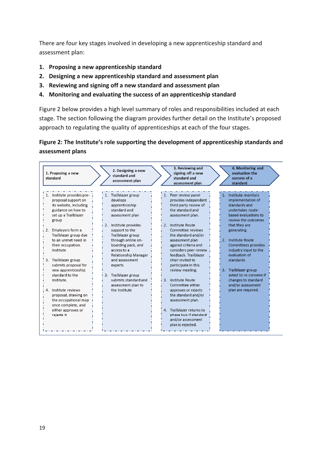There are four key stages involved in developing a new apprenticeship standard and assessment plan:

- **1. Proposing a new apprenticeship standard**
- **2. Designing a new apprenticeship standard and assessment plan**
- **3. Reviewing and signing off a new standard and assessment plan**
- **4. Monitoring and evaluating the success of an apprenticeship standard**

Figure 2 below provides a high level summary of roles and responsibilities included at each stage. The section following the diagram provides further detail on the Institute's proposed approach to regulating the quality of apprenticeships at each of the four stages.

#### **Figure 2: The Institute's role supporting the development of apprenticeship standards and assessment plans**

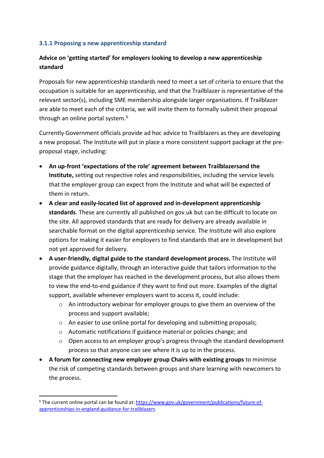#### **3.1.1 Proposing a new apprenticeship standard**

#### **Advice on 'getting started' for employers looking to develop a new apprenticeship standard**

Proposals for new apprenticeship standards need to meet a set of criteria to ensure that the occupation is suitable for an apprenticeship, and that the Trailblazer is representative of the relevant sector(s), including SME membership alongside larger organisations. If Trailblazer are able to meet each of the criteria, we will invite them to formally submit their proposal through an online portal system. [6](#page-20-0)

Currently Government officials provide ad hoc advice to Trailblazers as they are developing a new proposal. The Institute will put in place a more consistent support package at the preproposal stage, including:

- **An up-front 'expectations of the role' agreement between Trailblazersand the Institute,** setting out respective roles and responsibilities, including the service levels that the employer group can expect from the Institute and what will be expected of them in return.
- **A clear and easily-located list of approved and in-development apprenticeship standards**. These are currently all published on gov.uk but can be difficult to locate on the site. All approved standards that are ready for delivery are already available in searchable format on the digital apprenticeship service. The Institute will also explore options for making it easier for employers to find standards that are in development but not yet approved for delivery.
- **A user-friendly, digital guide to the standard development process.** The Institute will provide guidance digitally, through an interactive guide that tailors information to the stage that the employer has reached in the development process, but also allows them to view the end-to-end guidance if they want to find out more. Examples of the digital support, available whenever employers want to access it, could include:
	- $\circ$  An introductory webinar for employer groups to give them an overview of the process and support available;
	- o An easier to use online portal for developing and submitting proposals;
	- o Automatic notifications if guidance material or policies change; and
	- o Open access to an employer group's progress through the standard development process so that anyone can see where it is up to in the process.
- **A forum for connecting new employer group Chairs with existing groups** to minimise the risk of competing standards between groups and share learning with newcomers to the process.

**.** 

<span id="page-20-0"></span><sup>&</sup>lt;sup>6</sup> The current online portal can be found at: [https://www.gov.uk/government/publications/future-of](https://www.gov.uk/government/publications/future-of-apprenticeships-in-england-guidance-for-trailblazers)[apprenticeships-in-england-guidance-for-trailblazers](https://www.gov.uk/government/publications/future-of-apprenticeships-in-england-guidance-for-trailblazers)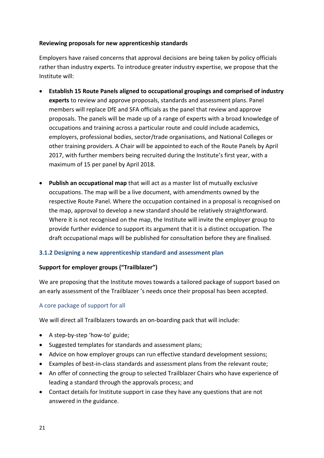#### **Reviewing proposals for new apprenticeship standards**

Employers have raised concerns that approval decisions are being taken by policy officials rather than industry experts. To introduce greater industry expertise, we propose that the Institute will:

- **Establish 15 Route Panels aligned to occupational groupings and comprised of industry experts** to review and approve proposals, standards and assessment plans. Panel members will replace DfE and SFA officials as the panel that review and approve proposals. The panels will be made up of a range of experts with a broad knowledge of occupations and training across a particular route and could include academics, employers, professional bodies, sector/trade organisations, and National Colleges or other training providers. A Chair will be appointed to each of the Route Panels by April 2017, with further members being recruited during the Institute's first year, with a maximum of 15 per panel by April 2018.
- **Publish an occupational map** that will act as a master list of mutually exclusive occupations. The map will be a live document, with amendments owned by the respective Route Panel. Where the occupation contained in a proposal is recognised on the map, approval to develop a new standard should be relatively straightforward. Where it is not recognised on the map, the Institute will invite the employer group to provide further evidence to support its argument that it is a distinct occupation. The draft occupational maps will be published for consultation before they are finalised.

#### **3.1.2 Designing a new apprenticeship standard and assessment plan**

#### **Support for employer groups ("Trailblazer")**

We are proposing that the Institute moves towards a tailored package of support based on an early assessment of the Trailblazer 's needs once their proposal has been accepted.

#### A core package of support for all

We will direct all Trailblazers towards an on-boarding pack that will include:

- A step-by-step 'how-to' guide;
- Suggested templates for standards and assessment plans;
- Advice on how employer groups can run effective standard development sessions;
- Examples of best-in-class standards and assessment plans from the relevant route;
- An offer of connecting the group to selected Trailblazer Chairs who have experience of leading a standard through the approvals process; and
- Contact details for Institute support in case they have any questions that are not answered in the guidance.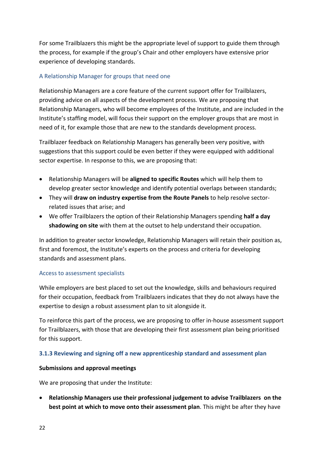For some Trailblazers this might be the appropriate level of support to guide them through the process, for example if the group's Chair and other employers have extensive prior experience of developing standards.

#### A Relationship Manager for groups that need one

Relationship Managers are a core feature of the current support offer for Trailblazers, providing advice on all aspects of the development process. We are proposing that Relationship Managers, who will become employees of the Institute, and are included in the Institute's staffing model, will focus their support on the employer groups that are most in need of it, for example those that are new to the standards development process.

Trailblazer feedback on Relationship Managers has generally been very positive, with suggestions that this support could be even better if they were equipped with additional sector expertise. In response to this, we are proposing that:

- Relationship Managers will be **aligned to specific Routes** which will help them to develop greater sector knowledge and identify potential overlaps between standards;
- They will **draw on industry expertise from the Route Panels** to help resolve sectorrelated issues that arise; and
- We offer Trailblazers the option of their Relationship Managers spending **half a day shadowing on site** with them at the outset to help understand their occupation.

In addition to greater sector knowledge, Relationship Managers will retain their position as, first and foremost, the Institute's experts on the process and criteria for developing standards and assessment plans.

#### Access to assessment specialists

While employers are best placed to set out the knowledge, skills and behaviours required for their occupation, feedback from Trailblazers indicates that they do not always have the expertise to design a robust assessment plan to sit alongside it.

To reinforce this part of the process, we are proposing to offer in-house assessment support for Trailblazers, with those that are developing their first assessment plan being prioritised for this support.

#### **3.1.3 Reviewing and signing off a new apprenticeship standard and assessment plan**

#### **Submissions and approval meetings**

We are proposing that under the Institute:

• **Relationship Managers use their professional judgement to advise Trailblazers on the best point at which to move onto their assessment plan**. This might be after they have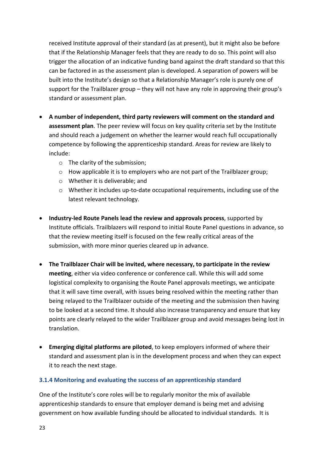received Institute approval of their standard (as at present), but it might also be before that if the Relationship Manager feels that they are ready to do so. This point will also trigger the allocation of an indicative funding band against the draft standard so that this can be factored in as the assessment plan is developed. A separation of powers will be built into the Institute's design so that a Relationship Manager's role is purely one of support for the Trailblazer group – they will not have any role in approving their group's standard or assessment plan.

- **A number of independent, third party reviewers will comment on the standard and assessment plan**. The peer review will focus on key quality criteria set by the Institute and should reach a judgement on whether the learner would reach full occupationally competence by following the apprenticeship standard. Areas for review are likely to include:
	- o The clarity of the submission;
	- $\circ$  How applicable it is to employers who are not part of the Trailblazer group;
	- o Whether it is deliverable; and
	- $\circ$  Whether it includes up-to-date occupational requirements, including use of the latest relevant technology.
- **Industry-led Route Panels lead the review and approvals process**, supported by Institute officials. Trailblazers will respond to initial Route Panel questions in advance, so that the review meeting itself is focused on the few really critical areas of the submission, with more minor queries cleared up in advance.
- **The Trailblazer Chair will be invited, where necessary, to participate in the review meeting**, either via video conference or conference call. While this will add some logistical complexity to organising the Route Panel approvals meetings, we anticipate that it will save time overall, with issues being resolved within the meeting rather than being relayed to the Trailblazer outside of the meeting and the submission then having to be looked at a second time. It should also increase transparency and ensure that key points are clearly relayed to the wider Trailblazer group and avoid messages being lost in translation.
- **Emerging digital platforms are piloted**, to keep employers informed of where their standard and assessment plan is in the development process and when they can expect it to reach the next stage.

#### **3.1.4 Monitoring and evaluating the success of an apprenticeship standard**

One of the Institute's core roles will be to regularly monitor the mix of available apprenticeship standards to ensure that employer demand is being met and advising government on how available funding should be allocated to individual standards. It is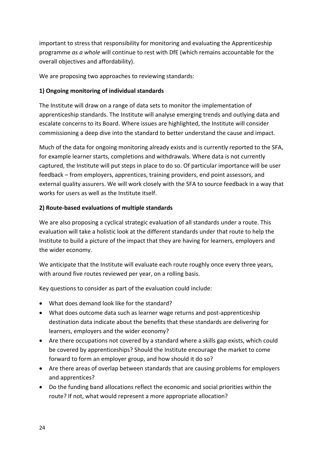important to stress that responsibility for monitoring and evaluating the Apprenticeship programme *as a whole* will continue to rest with DfE (which remains accountable for the overall objectives and affordability).

We are proposing two approaches to reviewing standards:

#### **1) Ongoing monitoring of individual standards**

The Institute will draw on a range of data sets to monitor the implementation of apprenticeship standards. The Institute will analyse emerging trends and outlying data and escalate concerns to its Board. Where issues are highlighted, the Institute will consider commissioning a deep dive into the standard to better understand the cause and impact.

Much of the data for ongoing monitoring already exists and is currently reported to the SFA, for example learner starts, completions and withdrawals. Where data is not currently captured, the Institute will put steps in place to do so. Of particular importance will be user feedback – from employers, apprentices, training providers, end point assessors, and external quality assurers. We will work closely with the SFA to source feedback in a way that works for users as well as the Institute itself.

#### **2) Route-based evaluations of multiple standards**

We are also proposing a cyclical strategic evaluation of all standards under a route. This evaluation will take a holistic look at the different standards under that route to help the Institute to build a picture of the impact that they are having for learners, employers and the wider economy.

We anticipate that the Institute will evaluate each route roughly once every three years, with around five routes reviewed per year, on a rolling basis.

Key questions to consider as part of the evaluation could include:

- What does demand look like for the standard?
- What does outcome data such as learner wage returns and post-apprenticeship destination data indicate about the benefits that these standards are delivering for learners, employers and the wider economy?
- Are there occupations not covered by a standard where a skills gap exists, which could be covered by apprenticeships? Should the Institute encourage the market to come forward to form an employer group, and how should it do so?
- Are there areas of overlap between standards that are causing problems for employers and apprentices?
- Do the funding band allocations reflect the economic and social priorities within the route? If not, what would represent a more appropriate allocation?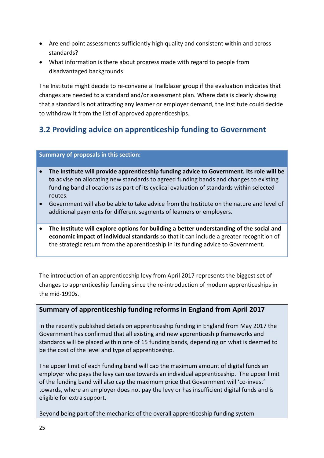- Are end point assessments sufficiently high quality and consistent within and across standards?
- What information is there about progress made with regard to people from disadvantaged backgrounds

<span id="page-25-0"></span>The Institute might decide to re-convene a Trailblazer group if the evaluation indicates that changes are needed to a standard and/or assessment plan. Where data is clearly showing that a standard is not attracting any learner or employer demand, the Institute could decide to withdraw it from the list of approved apprenticeships.

# **3.2 Providing advice on apprenticeship funding to Government**

#### **Summary of proposals in this section:**

- **The Institute will provide apprenticeship funding advice to Government. Its role will be to** advise on allocating new standards to agreed funding bands and changes to existing funding band allocations as part of its cyclical evaluation of standards within selected routes.
- Government will also be able to take advice from the Institute on the nature and level of additional payments for different segments of learners or employers.
- **The Institute will explore options for building a better understanding of the social and economic impact of individual standards** so that it can include a greater recognition of the strategic return from the apprenticeship in its funding advice to Government.

The introduction of an apprenticeship levy from April 2017 represents the biggest set of changes to apprenticeship funding since the re-introduction of modern apprenticeships in the mid-1990s.

#### **Summary of apprenticeship funding reforms in England from April 2017**

In the recently published details on apprenticeship funding in England from May 2017 the Government has confirmed that all existing and new apprenticeship frameworks and standards will be placed within one of 15 funding bands, depending on what is deemed to be the cost of the level and type of apprenticeship.

The upper limit of each funding band will cap the maximum amount of digital funds an employer who pays the levy can use towards an individual apprenticeship. The upper limit of the funding band will also cap the maximum price that Government will 'co-invest' towards, where an employer does not pay the levy or has insufficient digital funds and is eligible for extra support.

Beyond being part of the mechanics of the overall apprenticeship funding system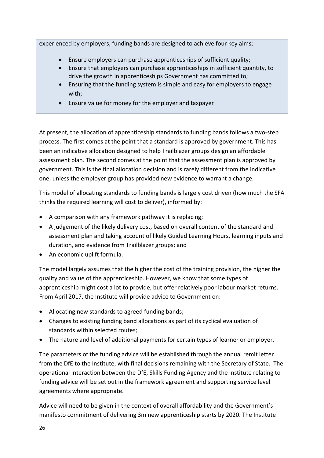experienced by employers, funding bands are designed to achieve four key aims;

- Ensure employers can purchase apprenticeships of sufficient quality;
- Ensure that employers can purchase apprenticeships in sufficient quantity, to drive the growth in apprenticeships Government has committed to;
- Ensuring that the funding system is simple and easy for employers to engage with;
- Ensure value for money for the employer and taxpayer

At present, the allocation of apprenticeship standards to funding bands follows a two-step process. The first comes at the point that a standard is approved by government. This has been an indicative allocation designed to help Trailblazer groups design an affordable assessment plan. The second comes at the point that the assessment plan is approved by government. This is the final allocation decision and is rarely different from the indicative one, unless the employer group has provided new evidence to warrant a change.

This model of allocating standards to funding bands is largely cost driven (how much the SFA thinks the required learning will cost to deliver), informed by:

- A comparison with any framework pathway it is replacing;
- A judgement of the likely delivery cost, based on overall content of the standard and assessment plan and taking account of likely Guided Learning Hours, learning inputs and duration, and evidence from Trailblazer groups; and
- An economic uplift formula.

The model largely assumes that the higher the cost of the training provision, the higher the quality and value of the apprenticeship. However, we know that some types of apprenticeship might cost a lot to provide, but offer relatively poor labour market returns. From April 2017, the Institute will provide advice to Government on:

- Allocating new standards to agreed funding bands;
- Changes to existing funding band allocations as part of its cyclical evaluation of standards within selected routes;
- The nature and level of additional payments for certain types of learner or employer.

The parameters of the funding advice will be established through the annual remit letter from the DfE to the Institute, with final decisions remaining with the Secretary of State. The operational interaction between the DfE, Skills Funding Agency and the Institute relating to funding advice will be set out in the framework agreement and supporting service level agreements where appropriate.

Advice will need to be given in the context of overall affordability and the Government's manifesto commitment of delivering 3m new apprenticeship starts by 2020. The Institute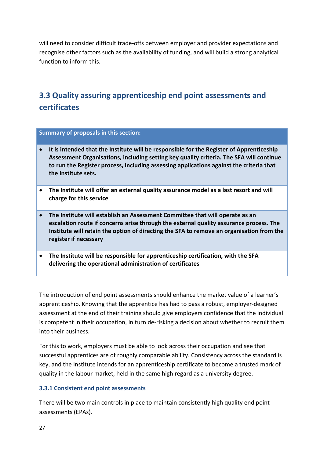will need to consider difficult trade-offs between employer and provider expectations and recognise other factors such as the availability of funding, and will build a strong analytical function to inform this.

# <span id="page-27-0"></span>**3.3 Quality assuring apprenticeship end point assessments and certificates**

#### **Summary of proposals in this section:**

- **It is intended that the Institute will be responsible for the Register of Apprenticeship Assessment Organisations, including setting key quality criteria. The SFA will continue to run the Register process, including assessing applications against the criteria that the Institute sets.**
- **The Institute will offer an external quality assurance model as a last resort and will charge for this service**
- **The Institute will establish an Assessment Committee that will operate as an escalation route if concerns arise through the external quality assurance process. The Institute will retain the option of directing the SFA to remove an organisation from the register if necessary**
- **The Institute will be responsible for apprenticeship certification, with the SFA delivering the operational administration of certificates**

The introduction of end point assessments should enhance the market value of a learner's apprenticeship. Knowing that the apprentice has had to pass a robust, employer-designed assessment at the end of their training should give employers confidence that the individual is competent in their occupation, in turn de-risking a decision about whether to recruit them into their business.

For this to work, employers must be able to look across their occupation and see that successful apprentices are of roughly comparable ability. Consistency across the standard is key, and the Institute intends for an apprenticeship certificate to become a trusted mark of quality in the labour market, held in the same high regard as a university degree.

#### **3.3.1 Consistent end point assessments**

There will be two main controls in place to maintain consistently high quality end point assessments (EPAs).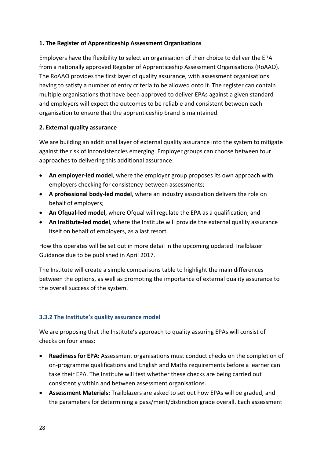#### **1. The Register of Apprenticeship Assessment Organisations**

Employers have the flexibility to select an organisation of their choice to deliver the EPA from a nationally approved Register of Apprenticeship Assessment Organisations (RoAAO). The RoAAO provides the first layer of quality assurance, with assessment organisations having to satisfy a number of entry criteria to be allowed onto it. The register can contain multiple organisations that have been approved to deliver EPAs against a given standard and employers will expect the outcomes to be reliable and consistent between each organisation to ensure that the apprenticeship brand is maintained.

#### **2. External quality assurance**

We are building an additional layer of external quality assurance into the system to mitigate against the risk of inconsistencies emerging. Employer groups can choose between four approaches to delivering this additional assurance:

- **An employer-led model**, where the employer group proposes its own approach with employers checking for consistency between assessments;
- **A professional body-led model**, where an industry association delivers the role on behalf of employers;
- **An Ofqual-led model**, where Ofqual will regulate the EPA as a qualification; and
- **An Institute-led model**, where the Institute will provide the external quality assurance itself on behalf of employers, as a last resort.

How this operates will be set out in more detail in the upcoming updated Trailblazer Guidance due to be published in April 2017.

The Institute will create a simple comparisons table to highlight the main differences between the options, as well as promoting the importance of external quality assurance to the overall success of the system.

#### **3.3.2 The Institute's quality assurance model**

We are proposing that the Institute's approach to quality assuring EPAs will consist of checks on four areas:

- **Readiness for EPA:** Assessment organisations must conduct checks on the completion of on-programme qualifications and English and Maths requirements before a learner can take their EPA. The Institute will test whether these checks are being carried out consistently within and between assessment organisations.
- **Assessment Materials:** Trailblazers are asked to set out how EPAs will be graded, and the parameters for determining a pass/merit/distinction grade overall. Each assessment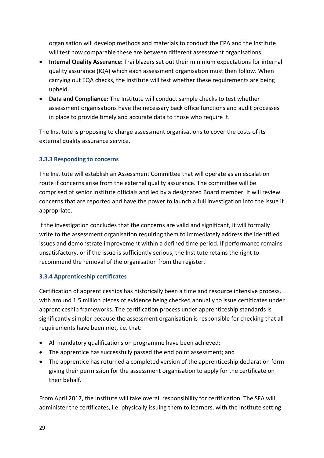organisation will develop methods and materials to conduct the EPA and the Institute will test how comparable these are between different assessment organisations.

- **Internal Quality Assurance:** Trailblazers set out their minimum expectations for internal quality assurance (IQA) which each assessment organisation must then follow. When carrying out EQA checks, the Institute will test whether these requirements are being upheld.
- **Data and Compliance:** The Institute will conduct sample checks to test whether assessment organisations have the necessary back office functions and audit processes in place to provide timely and accurate data to those who require it.

The Institute is proposing to charge assessment organisations to cover the costs of its external quality assurance service.

#### **3.3.3 Responding to concerns**

The Institute will establish an Assessment Committee that will operate as an escalation route if concerns arise from the external quality assurance. The committee will be comprised of senior Institute officials and led by a designated Board member. It will review concerns that are reported and have the power to launch a full investigation into the issue if appropriate.

If the investigation concludes that the concerns are valid and significant, it will formally write to the assessment organisation requiring them to immediately address the identified issues and demonstrate improvement within a defined time period. If performance remains unsatisfactory, or if the issue is sufficiently serious, the Institute retains the right to recommend the removal of the organisation from the register.

#### **3.3.4 Apprenticeship certificates**

Certification of apprenticeships has historically been a time and resource intensive process, with around 1.5 million pieces of evidence being checked annually to issue certificates under apprenticeship frameworks. The certification process under apprenticeship standards is significantly simpler because the assessment organisation is responsible for checking that all requirements have been met, i.e. that:

- All mandatory qualifications on programme have been achieved;
- The apprentice has successfully passed the end point assessment; and
- The apprentice has returned a completed version of the apprenticeship declaration form giving their permission for the assessment organisation to apply for the certificate on their behalf.

From April 2017, the Institute will take overall responsibility for certification. The SFA will administer the certificates, i.e. physically issuing them to learners, with the Institute setting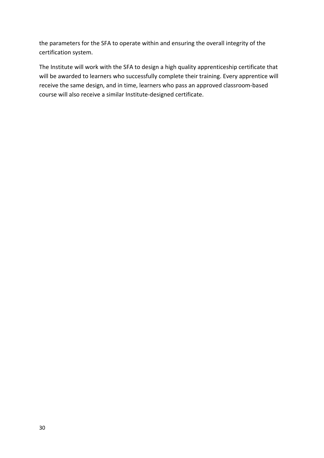the parameters for the SFA to operate within and ensuring the overall integrity of the certification system.

The Institute will work with the SFA to design a high quality apprenticeship certificate that will be awarded to learners who successfully complete their training. Every apprentice will receive the same design, and in time, learners who pass an approved classroom-based course will also receive a similar Institute-designed certificate.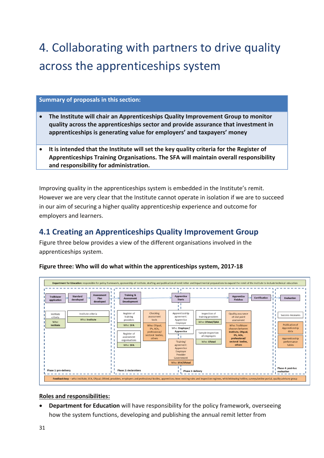# <span id="page-31-0"></span>4. Collaborating with partners to drive quality across the apprenticeships system

#### **Summary of proposals in this section:**

- x **The Institute will chair an Apprenticeships Quality Improvement Group to monitor quality across the apprenticeships sector and provide assurance that investment in apprenticeships is generating value for employers' and taxpayers' money**
- x **It is intended that the Institute will set the key quality criteria for the Register of Apprenticeships Training Organisations. The SFA will maintain overall responsibility and responsibility for administration.**

Improving quality in the apprenticeships system is embedded in the Institute's remit. However we are very clear that the Institute cannot operate in isolation if we are to succeed in our aim of securing a higher quality apprenticeship experience and outcome for employers and learners.

## <span id="page-31-1"></span>**4.1 Creating an Apprenticeships Quality Improvement Group**

Figure three below provides a view of the different organisations involved in the apprenticeships system.



**Figure three: Who will do what within the apprenticeships system, 2017-18** 

#### **Roles and responsibilities:**

**Department for Education** will have responsibility for the policy framework, overseeing how the system functions, developing and publishing the annual remit letter from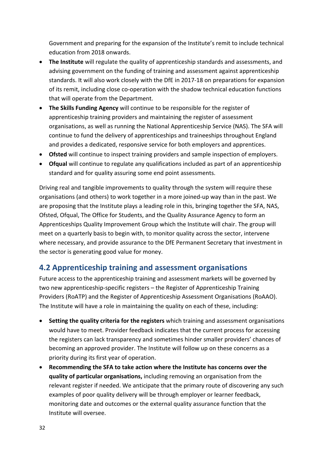Government and preparing for the expansion of the Institute's remit to include technical education from 2018 onwards.

- **The Institute** will regulate the quality of apprenticeship standards and assessments, and advising government on the funding of training and assessment against apprenticeship standards. It will also work closely with the DfE in 2017-18 on preparations for expansion of its remit, including close co-operation with the shadow technical education functions that will operate from the Department.
- **The Skills Funding Agency** will continue to be responsible for the register of apprenticeship training providers and maintaining the register of assessment organisations, as well as running the National Apprenticeship Service (NAS). The SFA will continue to fund the delivery of apprenticeships and traineeships throughout England and provides a dedicated, responsive service for both employers and apprentices.
- **Ofsted** will continue to inspect training providers and sample inspection of employers.
- **Ofqual** will continue to regulate any qualifications included as part of an apprenticeship standard and for quality assuring some end point assessments.

Driving real and tangible improvements to quality through the system will require these organisations (and others) to work together in a more joined-up way than in the past. We are proposing that the Institute plays a leading role in this, bringing together the SFA, NAS, Ofsted, Ofqual, The Office for Students, and the Quality Assurance Agency to form an Apprenticeships Quality Improvement Group which the Institute will chair. The group will meet on a quarterly basis to begin with, to monitor quality across the sector, intervene where necessary, and provide assurance to the DfE Permanent Secretary that investment in the sector is generating good value for money.

### <span id="page-32-0"></span>**4.2 Apprenticeship training and assessment organisations**

Future access to the apprenticeship training and assessment markets will be governed by two new apprenticeship-specific registers – the Register of Apprenticeship Training Providers (RoATP) and the Register of Apprenticeship Assessment Organisations (RoAAO). The Institute will have a role in maintaining the quality on each of these, including:

- **Setting the quality criteria for the registers** which training and assessment organisations would have to meet. Provider feedback indicates that the current process for accessing the registers can lack transparency and sometimes hinder smaller providers' chances of becoming an approved provider. The Institute will follow up on these concerns as a priority during its first year of operation.
- **Recommending the SFA to take action where the Institute has concerns over the quality of particular organisations,** including removing an organisation from the relevant register if needed. We anticipate that the primary route of discovering any such examples of poor quality delivery will be through employer or learner feedback, monitoring date and outcomes or the external quality assurance function that the Institute will oversee.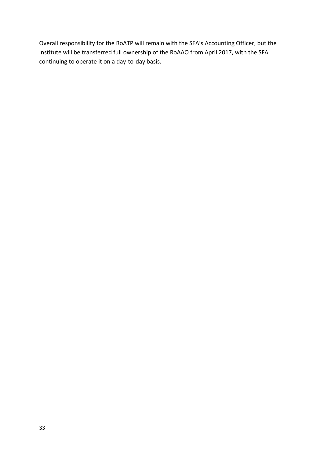<span id="page-33-0"></span>Overall responsibility for the RoATP will remain with the SFA's Accounting Officer, but the Institute will be transferred full ownership of the RoAAO from April 2017, with the SFA continuing to operate it on a day-to-day basis.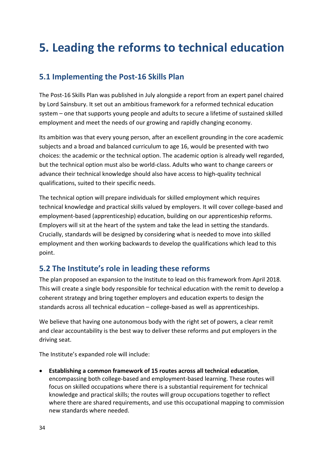# **5. Leading the reforms to technical education**

### <span id="page-34-0"></span>**5.1 Implementing the Post-16 Skills Plan**

The Post-16 Skills Plan was published in July alongside a report from an expert panel chaired by Lord Sainsbury. It set out an ambitious framework for a reformed technical education system – one that supports young people and adults to secure a lifetime of sustained skilled employment and meet the needs of our growing and rapidly changing economy.

<span id="page-34-1"></span>Its ambition was that every young person, after an excellent grounding in the core academic subjects and a broad and balanced curriculum to age 16, would be presented with two choices: the academic or the technical option. The academic option is already well regarded, but the technical option must also be world-class. Adults who want to change careers or advance their technical knowledge should also have access to high-quality technical qualifications, suited to their specific needs.

The technical option will prepare individuals for skilled employment which requires technical knowledge and practical skills valued by employers. It will cover college-based and employment-based (apprenticeship) education, building on our apprenticeship reforms. Employers will sit at the heart of the system and take the lead in setting the standards. Crucially, standards will be designed by considering what is needed to move into skilled employment and then working backwards to develop the qualifications which lead to this point.

#### **5.2 The Institute's role in leading these reforms**

The plan proposed an expansion to the Institute to lead on this framework from April 2018. This will create a single body responsible for technical education with the remit to develop a coherent strategy and bring together employers and education experts to design the standards across all technical education – college-based as well as apprenticeships.

We believe that having one autonomous body with the right set of powers, a clear remit and clear accountability is the best way to deliver these reforms and put employers in the driving seat.

The Institute's expanded role will include:

• **Establishing a common framework of 15 routes across all technical education**, encompassing both college-based and employment-based learning. These routes will focus on skilled occupations where there is a substantial requirement for technical knowledge and practical skills; the routes will group occupations together to reflect where there are shared requirements, and use this occupational mapping to commission new standards where needed.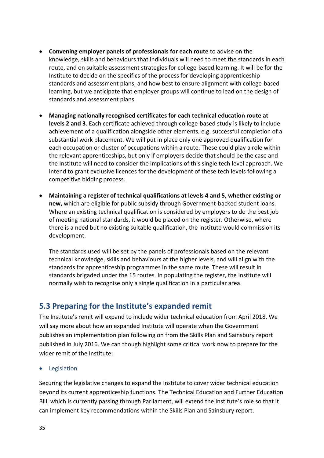- **Convening employer panels of professionals for each route** to advise on the knowledge, skills and behaviours that individuals will need to meet the standards in each route, and on suitable assessment strategies for college-based learning. It will be for the Institute to decide on the specifics of the process for developing apprenticeship standards and assessment plans, and how best to ensure alignment with college-based learning, but we anticipate that employer groups will continue to lead on the design of standards and assessment plans.
- **Managing nationally recognised certificates for each technical education route at levels 2 and 3**. Each certificate achieved through college-based study is likely to include achievement of a qualification alongside other elements, e.g. successful completion of a substantial work placement. We will put in place only one approved qualification for each occupation or cluster of occupations within a route. These could play a role within the relevant apprenticeships, but only if employers decide that should be the case and the Institute will need to consider the implications of this single tech level approach. We intend to grant exclusive licences for the development of these tech levels following a competitive bidding process.
- **Maintaining a register of technical qualifications at levels 4 and 5, whether existing or new,** which are eligible for public subsidy through Government-backed student loans. Where an existing technical qualification is considered by employers to do the best job of meeting national standards, it would be placed on the register. Otherwise, where there is a need but no existing suitable qualification, the Institute would commission its development.

<span id="page-35-1"></span>The standards used will be set by the panels of professionals based on the relevant technical knowledge, skills and behaviours at the higher levels, and will align with the standards for apprenticeship programmes in the same route. These will result in standards brigaded under the 15 routes. In populating the register, the Institute will normally wish to recognise only a single qualification in a particular area.

### <span id="page-35-0"></span>**5.3 Preparing for the Institute's expanded remit**

The Institute's remit will expand to include wider technical education from April 2018. We will say more about how an expanded Institute will operate when the Government publishes an implementation plan following on from the Skills Plan and Sainsbury report published in July 2016. We can though highlight some critical work now to prepare for the wider remit of the Institute:

**Legislation** 

Securing the legislative changes to expand the Institute to cover wider technical education beyond its current apprenticeship functions. The Technical Education and Further Education Bill, which is currently passing through Parliament, will extend the Institute's role so that it can implement key recommendations within the Skills Plan and Sainsbury report.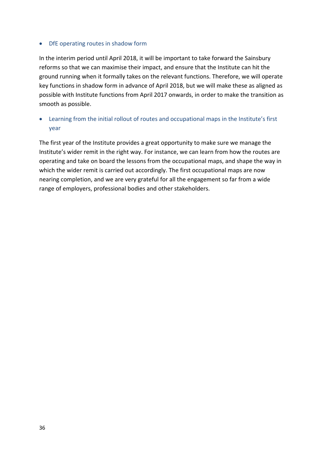#### • DfE operating routes in shadow form

In the interim period until April 2018, it will be important to take forward the Sainsbury reforms so that we can maximise their impact, and ensure that the Institute can hit the ground running when it formally takes on the relevant functions. Therefore, we will operate key functions in shadow form in advance of April 2018, but we will make these as aligned as possible with Institute functions from April 2017 onwards, in order to make the transition as smooth as possible.

#### • Learning from the initial rollout of routes and occupational maps in the Institute's first year

The first year of the Institute provides a great opportunity to make sure we manage the Institute's wider remit in the right way. For instance, we can learn from how the routes are operating and take on board the lessons from the occupational maps, and shape the way in which the wider remit is carried out accordingly. The first occupational maps are now nearing completion, and we are very grateful for all the engagement so far from a wide range of employers, professional bodies and other stakeholders.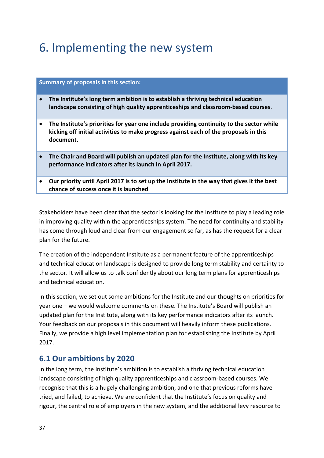# 6. Implementing the new system

#### **Summary of proposals in this section:**

- **The Institute's long term ambition is to establish a thriving technical education landscape consisting of high quality apprenticeships and classroom-based courses**.
- **The Institute's priorities for year one include providing continuity to the sector while kicking off initial activities to make progress against each of the proposals in this document.**
- **The Chair and Board will publish an updated plan for the Institute, along with its key performance indicators after its launch in April 2017.**
- **Our priority until April 2017 is to set up the Institute in the way that gives it the best chance of success once it is launched**

Stakeholders have been clear that the sector is looking for the Institute to play a leading role in improving quality within the apprenticeships system. The need for continuity and stability has come through loud and clear from our engagement so far, as has the request for a clear plan for the future.

The creation of the independent Institute as a permanent feature of the apprenticeships and technical education landscape is designed to provide long term stability and certainty to the sector. It will allow us to talk confidently about our long term plans for apprenticeships and technical education.

In this section, we set out some ambitions for the Institute and our thoughts on priorities for year one – we would welcome comments on these. The Institute's Board will publish an updated plan for the Institute, along with its key performance indicators after its launch. Your feedback on our proposals in this document will heavily inform these publications. Finally, we provide a high level implementation plan for establishing the Institute by April 2017.

#### <span id="page-37-0"></span>**6.1 Our ambitions by 2020**

In the long term, the Institute's ambition is to establish a thriving technical education landscape consisting of high quality apprenticeships and classroom-based courses. We recognise that this is a hugely challenging ambition, and one that previous reforms have tried, and failed, to achieve. We are confident that the Institute's focus on quality and rigour, the central role of employers in the new system, and the additional levy resource to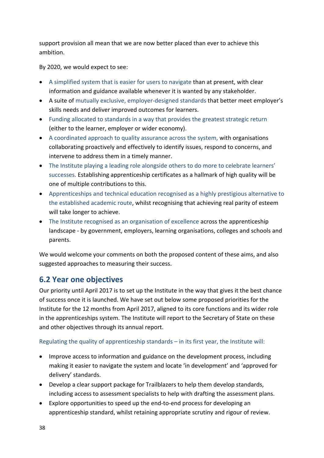support provision all mean that we are now better placed than ever to achieve this ambition.

By 2020, we would expect to see:

- A simplified system that is easier for users to navigate than at present, with clear information and guidance available whenever it is wanted by any stakeholder.
- A suite of mutually exclusive, employer-designed standards that better meet employer's skills needs and deliver improved outcomes for learners.
- Funding allocated to standards in a way that provides the greatest strategic return (either to the learner, employer or wider economy).
- A coordinated approach to quality assurance across the system, with organisations collaborating proactively and effectively to identify issues, respond to concerns, and intervene to address them in a timely manner.
- The Institute playing a leading role alongside others to do more to celebrate learners' successes. Establishing apprenticeship certificates as a hallmark of high quality will be one of multiple contributions to this.
- Apprenticeships and technical education recognised as a highly prestigious alternative to the established academic route, whilst recognising that achieving real parity of esteem will take longer to achieve.
- The Institute recognised as an organisation of excellence across the apprenticeship landscape - by government, employers, learning organisations, colleges and schools and parents.

We would welcome your comments on both the proposed content of these aims, and also suggested approaches to measuring their success.

## <span id="page-38-0"></span>**6.2 Year one objectives**

Our priority until April 2017 is to set up the Institute in the way that gives it the best chance of success once it is launched. We have set out below some proposed priorities for the Institute for the 12 months from April 2017, aligned to its core functions and its wider role in the apprenticeships system. The Institute will report to the Secretary of State on these and other objectives through its annual report.

#### Regulating the quality of apprenticeship standards – in its first year, the Institute will:

- Improve access to information and guidance on the development process, including making it easier to navigate the system and locate 'in development' and 'approved for delivery' standards.
- Develop a clear support package for Trailblazers to help them develop standards, including access to assessment specialists to help with drafting the assessment plans.
- Explore opportunities to speed up the end-to-end process for developing an apprenticeship standard, whilst retaining appropriate scrutiny and rigour of review.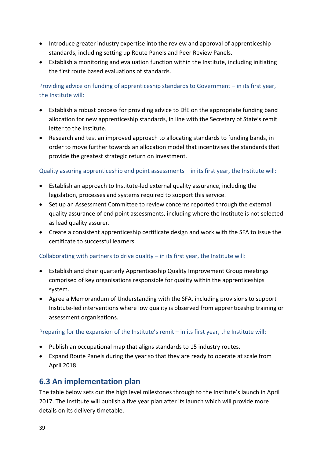- Introduce greater industry expertise into the review and approval of apprenticeship standards, including setting up Route Panels and Peer Review Panels.
- Establish a monitoring and evaluation function within the Institute, including initiating the first route based evaluations of standards.

#### Providing advice on funding of apprenticeship standards to Government – in its first year, the Institute will:

- Establish a robust process for providing advice to DfE on the appropriate funding band allocation for new apprenticeship standards, in line with the Secretary of State's remit letter to the Institute.
- Research and test an improved approach to allocating standards to funding bands, in order to move further towards an allocation model that incentivises the standards that provide the greatest strategic return on investment.

#### Quality assuring apprenticeship end point assessments – in its first year, the Institute will:

- Establish an approach to Institute-led external quality assurance, including the legislation, processes and systems required to support this service.
- Set up an Assessment Committee to review concerns reported through the external quality assurance of end point assessments, including where the Institute is not selected as lead quality assurer.
- Create a consistent apprenticeship certificate design and work with the SFA to issue the certificate to successful learners.

#### Collaborating with partners to drive quality  $-$  in its first year, the Institute will:

- Establish and chair quarterly Apprenticeship Quality Improvement Group meetings comprised of key organisations responsible for quality within the apprenticeships system.
- Agree a Memorandum of Understanding with the SFA, including provisions to support Institute-led interventions where low quality is observed from apprenticeship training or assessment organisations.

#### Preparing for the expansion of the Institute's remit – in its first year, the Institute will:

- Publish an occupational map that aligns standards to 15 industry routes.
- Expand Route Panels during the year so that they are ready to operate at scale from April 2018.

### <span id="page-39-0"></span>**6.3 An implementation plan**

The table below sets out the high level milestones through to the Institute's launch in April 2017. The Institute will publish a five year plan after its launch which will provide more details on its delivery timetable.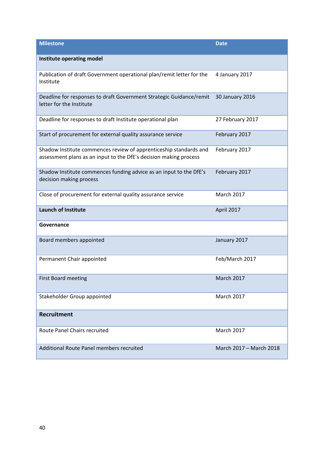<span id="page-40-0"></span>

| <b>Milestone</b>                                                                                                                       | <b>Date</b>             |
|----------------------------------------------------------------------------------------------------------------------------------------|-------------------------|
| Institute operating model                                                                                                              |                         |
| Publication of draft Government operational plan/remit letter for the<br>Institute                                                     | 4 January 2017          |
| Deadline for responses to draft Government Strategic Guidance/remit<br>letter for the Institute                                        | 30 January 2016         |
| Deadline for responses to draft Institute operational plan                                                                             | 27 February 2017        |
| Start of procurement for external quality assurance service                                                                            | February 2017           |
| Shadow Institute commences review of apprenticeship standards and<br>assessment plans as an input to the DfE's decision making process | February 2017           |
| Shadow Institute commences funding advice as an input to the DfE's<br>decision making process                                          | February 2017           |
| Close of procurement for external quality assurance service                                                                            | March 2017              |
| <b>Launch of Institute</b>                                                                                                             | April 2017              |
| Governance                                                                                                                             |                         |
| Board members appointed                                                                                                                | January 2017            |
| Permanent Chair appointed                                                                                                              | Feb/March 2017          |
| <b>First Board meeting</b>                                                                                                             | <b>March 2017</b>       |
| Stakeholder Group appointed                                                                                                            | March 2017              |
| <b>Recruitment</b>                                                                                                                     |                         |
| Route Panel Chairs recruited                                                                                                           | March 2017              |
| Additional Route Panel members recruited                                                                                               | March 2017 - March 2018 |